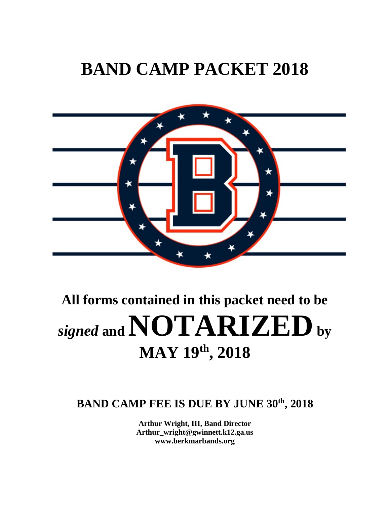# **BAND CAMP PACKET 2018**



# **All forms contained in this packet need to be**   $\mu$  *signed* and  $\bf NOTARIZED$  by **MAY 19th, 2018**

### **BAND CAMP FEE IS DUE BY JUNE 30th, 2018**

**Arthur Wright, III, Band Director Arthur\_wright@gwinnett.k12.ga.us www.berkmarbands.org**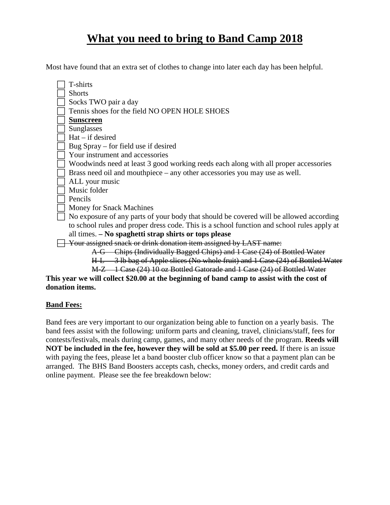### **What you need to bring to Band Camp 2018**

Most have found that an extra set of clothes to change into later each day has been helpful.

| T-shirts                                                                                   |
|--------------------------------------------------------------------------------------------|
| <b>Shorts</b>                                                                              |
| Socks TWO pair a day                                                                       |
| Tennis shoes for the field NO OPEN HOLE SHOES                                              |
| <b>Sunscreen</b>                                                                           |
| Sunglasses                                                                                 |
| $Hat - if desired$                                                                         |
| Bug Spray – for field use if desired                                                       |
| Your instrument and accessories                                                            |
| Woodwinds need at least 3 good working reeds each along with all proper accessories        |
| Brass need oil and mouthpiece – any other accessories you may use as well.                 |
| ALL your music                                                                             |
| Music folder                                                                               |
| Pencils                                                                                    |
| Money for Snack Machines                                                                   |
| No exposure of any parts of your body that should be covered will be allowed according     |
| to school rules and proper dress code. This is a school function and school rules apply at |
| all times. - No spaghetti strap shirts or tops please                                      |
| Your assigned snack or drink donation item assigned by LAST name:                          |
| A G Chips (Individually Bagged Chips) and 1 Case (24) of Bottled Water                     |
| H.L. 3 lb bag of Apple slices (No whole fruit) and 1 Case (24) of Bottled Water            |

M-Z 1 Case (24) 10 oz Bottled Gatorade and 1 Case (24) of Bottled Water

#### **This year we will collect \$20.00 at the beginning of band camp to assist with the cost of donation items.**

#### **Band Fees:**

Band fees are very important to our organization being able to function on a yearly basis. The band fees assist with the following: uniform parts and cleaning, travel, clinicians/staff, fees for contests/festivals, meals during camp, games, and many other needs of the program. **Reeds will NOT be included in the fee, however they will be sold at \$5.00 per reed.** If there is an issue with paying the fees, please let a band booster club officer know so that a payment plan can be arranged. The BHS Band Boosters accepts cash, checks, money orders, and credit cards and online payment. Please see the fee breakdown below: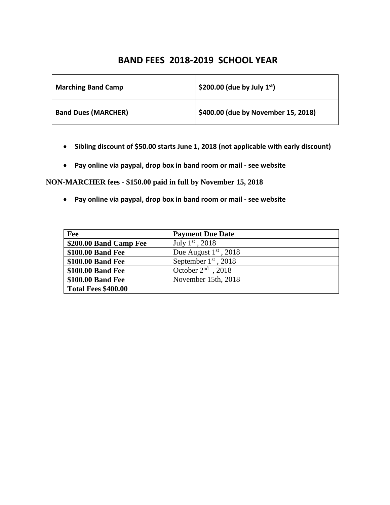### **BAND FEES 2018-2019 SCHOOL YEAR**

| <b>Marching Band Camp</b>  | \$200.00 (due by July $1st$ )       |
|----------------------------|-------------------------------------|
| <b>Band Dues (MARCHER)</b> | \$400.00 (due by November 15, 2018) |

- **Sibling discount of \$50.00 starts June 1, 2018 (not applicable with early discount)**
- **Pay online via paypal, drop box in band room or mail see website**

**NON-MARCHER fees - \$150.00 paid in full by November 15, 2018** 

• **Pay online via paypal, drop box in band room or mail - see website**

| Fee                    | <b>Payment Due Date</b>  |
|------------------------|--------------------------|
| \$200.00 Band Camp Fee | July $1^{\rm st}$ , 2018 |
| \$100.00 Band Fee      | Due August $1st$ , 2018  |
| \$100.00 Band Fee      | September $1st$ , 2018   |
| \$100.00 Band Fee      | October $2nd$ , 2018     |
| \$100.00 Band Fee      | November 15th, 2018      |
| Total Fees \$400.00    |                          |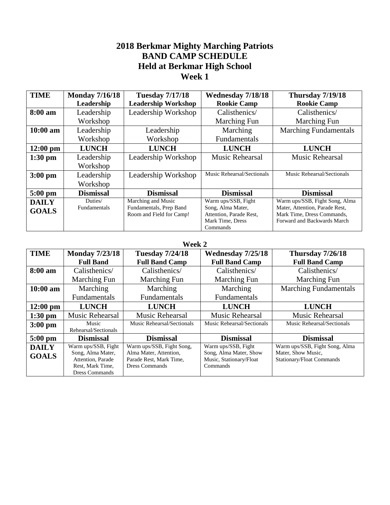### **2018 Berkmar Mighty Marching Patriots BAND CAMP SCHEDULE Held at Berkmar High School Week 1**

| <b>Monday 7/16/18</b> | <b>Tuesday 7/17/18</b>     | Wednesday 7/18/18                                   | <b>Thursday 7/19/18</b>                                                      |
|-----------------------|----------------------------|-----------------------------------------------------|------------------------------------------------------------------------------|
| Leadership            | <b>Leadership Workshop</b> | <b>Rookie Camp</b>                                  | <b>Rookie Camp</b>                                                           |
| Leadership            | Leadership Workshop        | Calisthenics/                                       | Calisthenics/                                                                |
| Workshop              |                            | <b>Marching Fun</b>                                 | Marching Fun                                                                 |
| Leadership            | Leadership                 | Marching                                            | <b>Marching Fundamentals</b>                                                 |
| Workshop              | Workshop                   | Fundamentals                                        |                                                                              |
| <b>LUNCH</b>          | <b>LUNCH</b>               | <b>LUNCH</b>                                        | <b>LUNCH</b>                                                                 |
| Leadership            | Leadership Workshop        | <b>Music Rehearsal</b>                              | <b>Music Rehearsal</b>                                                       |
| Workshop              |                            |                                                     |                                                                              |
| Leadership            | Leadership Workshop        | Music Rehearsal/Sectionals                          | Music Rehearsal/Sectionals                                                   |
| Workshop              |                            |                                                     |                                                                              |
| <b>Dismissal</b>      | <b>Dismissal</b>           | <b>Dismissal</b>                                    | <b>Dismissal</b>                                                             |
| Duties/               | Marching and Music         | Warm ups/SSB, Fight                                 | Warm ups/SSB, Fight Song, Alma                                               |
|                       |                            |                                                     | Mater, Attention, Parade Rest,                                               |
|                       |                            |                                                     | Mark Time, Dress Commands,<br>Forward and Backwards March                    |
|                       |                            |                                                     |                                                                              |
|                       | Fundamentals               | Fundamentals, Prep Band<br>Room and Field for Camp! | Song, Alma Mater,<br>Attention, Parade Rest,<br>Mark Time, Dress<br>Commands |

#### **Week 2**

| <b>TIME</b>  | <b>Monday 7/23/18</b>         | <b>Tuesday 7/24/18</b>     | Wednesday 7/25/18          | <b>Thursday 7/26/18</b>        |
|--------------|-------------------------------|----------------------------|----------------------------|--------------------------------|
|              | <b>Full Band</b>              | <b>Full Band Camp</b>      | <b>Full Band Camp</b>      | <b>Full Band Camp</b>          |
| 8:00 am      | Calisthenics/                 | Calisthenics/              | Calisthenics/              | Calisthenics/                  |
|              | Marching Fun                  | Marching Fun               | Marching Fun               | Marching Fun                   |
| $10:00$ am   | Marching                      | Marching                   | Marching                   | <b>Marching Fundamentals</b>   |
|              | Fundamentals                  | Fundamentals               | Fundamentals               |                                |
| $12:00$ pm   | <b>LUNCH</b>                  | <b>LUNCH</b>               | <b>LUNCH</b>               | <b>LUNCH</b>                   |
| $1:30$ pm    | Music Rehearsal               | Music Rehearsal            | Music Rehearsal            | Music Rehearsal                |
| $3:00$ pm    | Music<br>Rehearsal/Sectionals | Music Rehearsal/Sectionals | Music Rehearsal/Sectionals | Music Rehearsal/Sectionals     |
| $5:00$ pm    | <b>Dismissal</b>              | <b>Dismissal</b>           | <b>Dismissal</b>           | <b>Dismissal</b>               |
| <b>DAILY</b> | Warm ups/SSB, Fight           | Warm ups/SSB, Fight Song,  | Warm ups/SSB, Fight        | Warm ups/SSB, Fight Song, Alma |
| <b>GOALS</b> | Song, Alma Mater,             | Alma Mater, Attention,     | Song, Alma Mater, Show     | Mater, Show Music,             |
|              | Attention, Parade             | Parade Rest, Mark Time,    | Music, Stationary/Float    | Stationary/Float Commands      |
|              | Rest, Mark Time,              | <b>Dress Commands</b>      | Commands                   |                                |
|              | <b>Dress Commands</b>         |                            |                            |                                |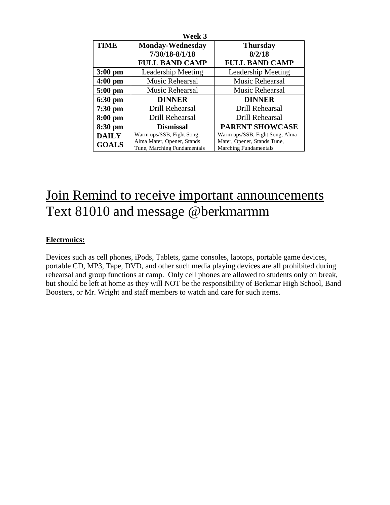| Week 3       |                             |                                |  |
|--------------|-----------------------------|--------------------------------|--|
| <b>TIME</b>  | <b>Monday-Wednesday</b>     | <b>Thursday</b>                |  |
|              | 7/30/18-8/1/18              | 8/2/18                         |  |
|              | <b>FULL BAND CAMP</b>       | <b>FULL BAND CAMP</b>          |  |
| $3:00$ pm    | <b>Leadership Meeting</b>   | Leadership Meeting             |  |
| $4:00$ pm    | Music Rehearsal             | <b>Music Rehearsal</b>         |  |
| $5:00$ pm    | Music Rehearsal             | Music Rehearsal                |  |
| $6:30$ pm    | <b>DINNER</b>               | <b>DINNER</b>                  |  |
| $7:30$ pm    | Drill Rehearsal             | Drill Rehearsal                |  |
| $8:00$ pm    | Drill Rehearsal             | Drill Rehearsal                |  |
| 8:30 pm      | <b>Dismissal</b>            | <b>PARENT SHOWCASE</b>         |  |
| <b>DAILY</b> | Warm ups/SSB, Fight Song,   | Warm ups/SSB, Fight Song, Alma |  |
| <b>GOALS</b> | Alma Mater, Opener, Stands  | Mater, Opener, Stands Tune,    |  |
|              | Tune, Marching Fundamentals | <b>Marching Fundamentals</b>   |  |

# Join Remind to receive important announcements Text 81010 and message @berkmarmm

### **Electronics:**

Devices such as cell phones, iPods, Tablets, game consoles, laptops, portable game devices, portable CD, MP3, Tape, DVD, and other such media playing devices are all prohibited during rehearsal and group functions at camp. Only cell phones are allowed to students only on break, but should be left at home as they will NOT be the responsibility of Berkmar High School, Band Boosters, or Mr. Wright and staff members to watch and care for such items.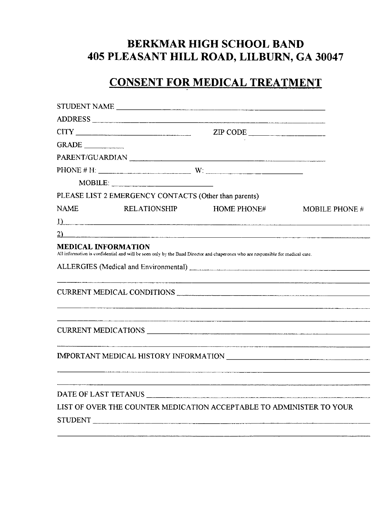### **BERKMAR HIGH SCHOOL BAND** 405 PLEASANT HILL ROAD, LILBURN, GA 30047

### **CONSENT FOR MEDICAL TREATMENT**

|                     |                                                       | STUDENT NAME                                                                                                                    |                |
|---------------------|-------------------------------------------------------|---------------------------------------------------------------------------------------------------------------------------------|----------------|
|                     |                                                       | ADDRESS                                                                                                                         |                |
|                     |                                                       | ZIP CODE                                                                                                                        |                |
| GRADE               |                                                       |                                                                                                                                 |                |
|                     |                                                       | PARENT/GUARDIAN                                                                                                                 |                |
|                     |                                                       | PHONE # H: $\qquad \qquad W:$                                                                                                   |                |
|                     | $MOBILE:$                                             |                                                                                                                                 |                |
|                     | PLEASE LIST 2 EMERGENCY CONTACTS (Other than parents) |                                                                                                                                 |                |
| <b>NAME</b>         | <b>RELATIONSHIP</b>                                   | <b>HOME PHONE#</b>                                                                                                              | MOBILE PHONE # |
|                     | $\overline{1}$ )                                      |                                                                                                                                 |                |
|                     |                                                       | $\overline{2)}$                                                                                                                 |                |
| MEDICAL INFORMATION |                                                       | All information is confidential and will be seen only by the Band Director and chaperones who are responsible for medical care. |                |
|                     |                                                       |                                                                                                                                 |                |
|                     |                                                       | CURRENT MEDICAL CONDITIONS                                                                                                      |                |
|                     |                                                       | CURRENT MEDICATIONS                                                                                                             |                |
|                     |                                                       |                                                                                                                                 |                |
|                     |                                                       |                                                                                                                                 |                |
|                     |                                                       | LIST OF OVER THE COUNTER MEDICATION ACCEPTABLE TO ADMINISTER TO YOUR                                                            |                |
|                     |                                                       |                                                                                                                                 |                |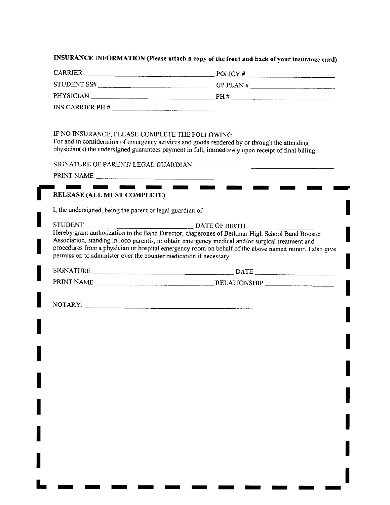#### INSURANCE INFORMATION (Please attach a copy of the front and back of your insurance card)

| <b>CARRIER</b> | POLICY#     |
|----------------|-------------|
| STUDENT SS#    | GP PLAN $#$ |
| PHYSICIAN      | PH #        |

INS CARRIER PH  $\#$ 

#### IF NO INSURANCE, PLEASE COMPLETE THE FOLLOWING:

 $\mathbf{r}$ 

For and in consideration of emergency services and goods rendered by or through the attending physician(s) the undersigned guarantees payment in full, immediately upon receipt of final billing.

| PRINT NAME |  |
|------------|--|
|            |  |

#### RELEASE (ALL MUST COMPLETE)

I, the undersigned, being the parent or legal guardian of

| STUDENT                                                            | DATE OF BIRTH                                                                                          |
|--------------------------------------------------------------------|--------------------------------------------------------------------------------------------------------|
|                                                                    | Hereby grant authorization to the Band Director, chaperones of Berkmar High School Band Booster        |
|                                                                    | Association, standing in loco parentis, to obtain emergency medical and/or surgical treatment and      |
|                                                                    | procedures from a physician or hospital emergency room on behalf of the above named minor. I also give |
| permission to administer over the counter medication if necessary. |                                                                                                        |
|                                                                    |                                                                                                        |

| <b>SIGNATURE</b> | DATE                  |        |
|------------------|-----------------------|--------|
| PRINT NAME       | RELATIONSHIP<br>_____ | ______ |

NOTARY: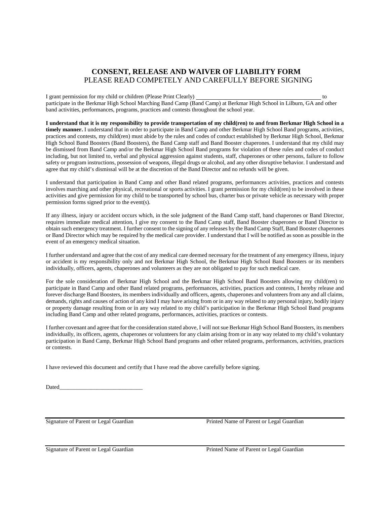#### **CONSENT, RELEASE AND WAIVER OF LIABILITY FORM**  PLEASE READ COMPETELY AND CAREFULLY BEFORE SIGNING

I grant permission for my child or children (Please Print Clearly) to participate in the Berkmar High School Marching Band Camp (Band Camp) at Berkmar High School in Lilburn, GA and other band activities, performances, programs, practices and contests throughout the school year.

**I understand that it is my responsibility to provide transportation of my child(ren) to and from Berkmar High School in a timely manner.** I understand that in order to participate in Band Camp and other Berkmar High School Band programs, activities, practices and contests, my child(ren) must abide by the rules and codes of conduct established by Berkmar High School, Berkmar High School Band Boosters (Band Boosters), the Band Camp staff and Band Booster chaperones. I understand that my child may be dismissed from Band Camp and/or the Berkmar High School Band programs for violation of these rules and codes of conduct including, but not limited to, verbal and physical aggression against students, staff, chaperones or other persons, failure to follow safety or program instructions, possession of weapons, illegal drugs or alcohol, and any other disruptive behavior. I understand and agree that my child's dismissal will be at the discretion of the Band Director and no refunds will be given.

I understand that participation in Band Camp and other Band related programs, performances activities, practices and contests involves marching and other physical, recreational or sports activities. I grant permission for my child(ren) to be involved in these activities and give permission for my child to be transported by school bus, charter bus or private vehicle as necessary with proper permission forms signed prior to the event(s).

If any illness, injury or accident occurs which, in the sole judgment of the Band Camp staff, band chaperones or Band Director, requires immediate medical attention, I give my consent to the Band Camp staff, Band Booster chaperones or Band Director to obtain such emergency treatment. I further consent to the signing of any releases by the Band Camp Staff, Band Booster chaperones or Band Director which may be required by the medical care provider. I understand that I will be notified as soon as possible in the event of an emergency medical situation.

I further understand and agree that the cost of any medical care deemed necessary for the treatment of any emergency illness, injury or accident is my responsibility only and not Berkmar High School, the Berkmar High School Band Boosters or its members individually, officers, agents, chaperones and volunteers as they are not obligated to pay for such medical care.

For the sole consideration of Berkmar High School and the Berkmar High School Band Boosters allowing my child(ren) to participate in Band Camp and other Band related programs, performances, activities, practices and contests, I hereby release and forever discharge Band Boosters, its members individually and officers, agents, chaperones and volunteers from any and all claims, demands, rights and causes of action of any kind I may have arising from or in any way related to any personal injury, bodily injury or property damage resulting from or in any way related to my child's participation in the Berkmar High School Band programs including Band Camp and other related programs, performances, activities, practices or contests.

I further covenant and agree that for the consideration stated above, I will not sue Berkmar High School Band Boosters, its members individually, its officers, agents, chaperones or volunteers for any claim arising from or in any way related to my child's voluntary participation in Band Camp, Berkmar High School Band programs and other related programs, performances, activities, practices or contests.

I have reviewed this document and certify that I have read the above carefully before signing.

Dated

Signature of Parent or Legal Guardian Printed Name of Parent or Legal Guardian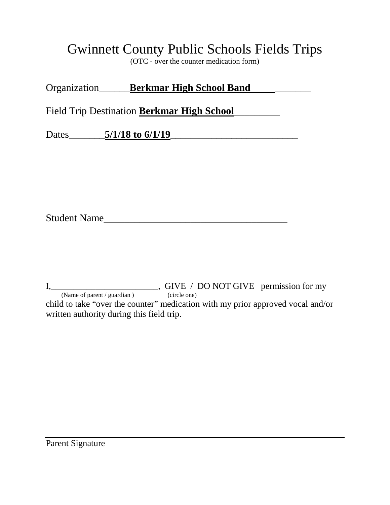## Gwinnett County Public Schools Fields Trips

(OTC - over the counter medication form)

| Organization | <b>Berkmar High School Band</b> |  |
|--------------|---------------------------------|--|
|              |                                 |  |

Field Trip Destination **Berkmar High School**\_\_\_\_\_\_\_\_\_

Dates\_\_\_\_\_\_\_**5/1/18 to 6/1/19**\_\_\_\_\_\_\_\_\_\_\_\_\_\_\_\_\_\_\_\_\_\_\_\_\_

Student Name

I, \_\_\_\_\_\_\_\_\_\_\_\_\_\_\_\_\_\_\_\_\_\_\_\_\_\_\_, GIVE / DO NOT GIVE permission for my (Name of parent / guardian ) (circle one) child to take "over the counter" medication with my prior approved vocal and/or written authority during this field trip.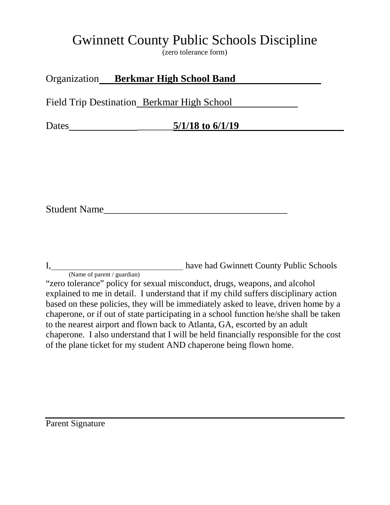# Gwinnett County Public Schools Discipline

(zero tolerance form)

### Organization **Berkmar High School Band**

Field Trip Destination Berkmar High School

Dates \_\_\_\_\_\_\_**5/1/18 to 6/1/19**

Student Name

I, 1. **have had Gwinnett County Public Schools** 

(Name of parent / guardian) "zero tolerance" policy for sexual misconduct, drugs, weapons, and alcohol explained to me in detail. I understand that if my child suffers disciplinary action based on these policies, they will be immediately asked to leave, driven home by a chaperone, or if out of state participating in a school function he/she shall be taken to the nearest airport and flown back to Atlanta, GA, escorted by an adult chaperone. I also understand that I will be held financially responsible for the cost of the plane ticket for my student AND chaperone being flown home.

Parent Signature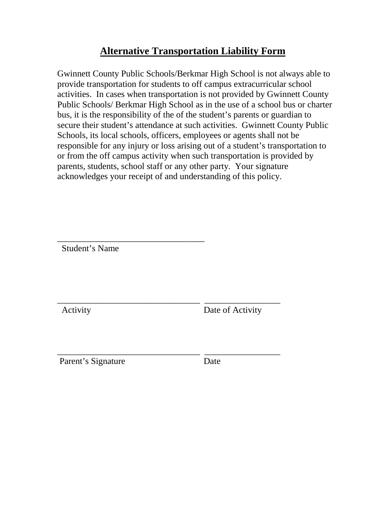### **Alternative Transportation Liability Form**

Gwinnett County Public Schools/Berkmar High School is not always able to provide transportation for students to off campus extracurricular school activities. In cases when transportation is not provided by Gwinnett County Public Schools/ Berkmar High School as in the use of a school bus or charter bus, it is the responsibility of the of the student's parents or guardian to secure their student's attendance at such activities. Gwinnett County Public Schools, its local schools, officers, employees or agents shall not be responsible for any injury or loss arising out of a student's transportation to or from the off campus activity when such transportation is provided by parents, students, school staff or any other party. Your signature acknowledges your receipt of and understanding of this policy.

\_\_\_\_\_\_\_\_\_\_\_\_\_\_\_\_\_\_\_\_\_\_\_\_\_\_\_\_\_\_\_\_\_ Student's Name

\_\_\_\_\_\_\_\_\_\_\_\_\_\_\_\_\_\_\_\_\_\_\_\_\_\_\_\_\_\_\_\_ \_\_\_\_\_\_\_\_\_\_\_\_\_\_\_\_\_ Activity Date of Activity

\_\_\_\_\_\_\_\_\_\_\_\_\_\_\_\_\_\_\_\_\_\_\_\_\_\_\_\_\_\_\_\_ \_\_\_\_\_\_\_\_\_\_\_\_\_\_\_\_\_ Parent's Signature Date